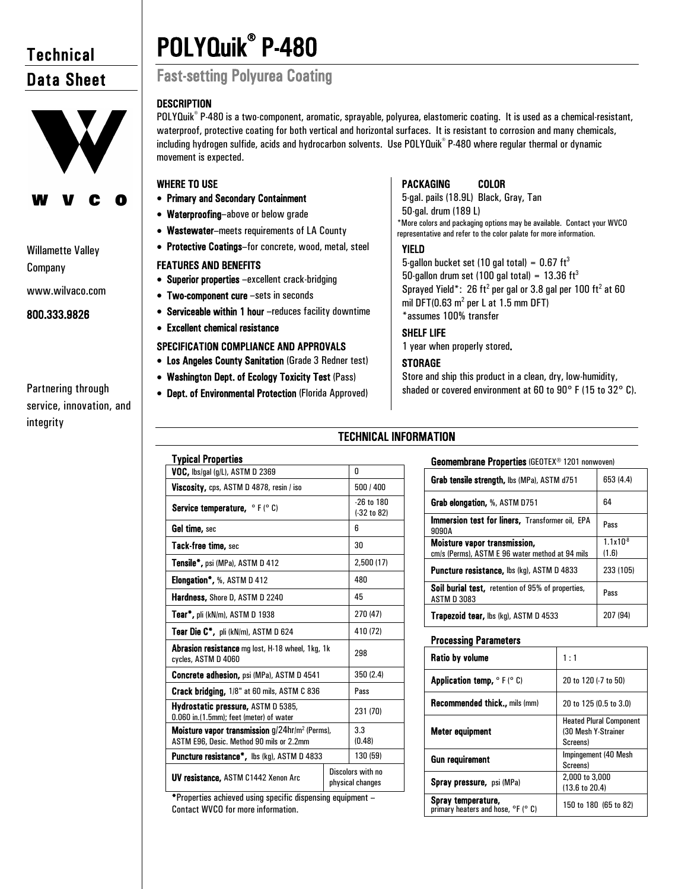# **Technical** Data Sheet



# Willamette Valley Company

www.wilvaco.com

800.333.9826

# Partnering through service, innovation, and integrity

# POLYQuik® P-480 Fast-setting Polyurea Coating

# **DESCRIPTION**

POLYQuik<sup>®</sup> P-480 is a two-component, aromatic, sprayable, polyurea, elastomeric coating. It is used as a chemical-resistant, waterproof, protective coating for both vertical and horizontal surfaces. It is resistant to corrosion and many chemicals, including hydrogen sulfide, acids and hydrocarbon solvents. Use POLYQuik® P-480 where regular thermal or dynamic movement is expected.

# WHERE TO USE

- Primary and Secondary Containment
- Waterproofing–above or below grade
- Wastewater–meets requirements of LA County
- Protective Coatings–for concrete, wood, metal, steel

# FEATURES AND BENEFITS

- Superior properties –excellent crack-bridging
- Two-component cure –sets in seconds
- Serviceable within 1 hour –reduces facility downtime
- Excellent chemical resistance

Typical Properties

# SPECIFICATION COMPLIANCE AND APPROVALS

- Los Angeles County Sanitation (Grade 3 Redner test)
- Washington Dept. of Ecology Toxicity Test (Pass)
- Dept. of Environmental Protection (Florida Approved)

 $VOC$ , lbs/gal (g/L), ASTM D 2369  $\vert$  0 Viscosity, cps, ASTM D 4878, resin / iso  $500 / 400$ 

# PACKAGING COLOR

5-gal. pails (18.9L) Black, Gray, Tan 50-gal. drum (189 L) \*More colors and packaging options may be available. Contact your WVCO representative and refer to the color palate for more information.

# YIELD

5-gallon bucket set (10 gal total) =  $0.67 \text{ ft}^3$ 50-gallon drum set (100 gal total) =  $13.36 \text{ ft}^3$ Sprayed Yield\*: 26 ft<sup>2</sup> per gal or 3.8 gal per 100 ft<sup>2</sup> at 60 mil DFT(0.63  $m^2$  per L at 1.5 mm DFT) \*assumes 100% transfer

# SHELF LIFE

1 year when properly stored.

# **STORAGE**

Store and ship this product in a clean, dry, low-humidity, shaded or covered environment at 60 to 90° F (15 to 32° C).

# TECHNICAL INFORMATION

# Geomembrane Properties (GEOTEX® 1201 nonwoven)

| Grab tensile strength, lbs (MPa), ASTM d751                                            | 653 (4.4)             |
|----------------------------------------------------------------------------------------|-----------------------|
| Grab elongation, %, ASTM D751                                                          | 64                    |
| Immersion test for liners, Transformer oil, EPA<br>9090A                               | Pass                  |
| <b>Moisture vapor transmission,</b><br>cm/s (Perms), ASTM E 96 water method at 94 mils | $1.1x10^{8}$<br>(1.6) |
| <b>Puncture resistance, lbs (kg), ASTM D 4833</b>                                      | 233 (105)             |
| <b>Soil burial test, retention of 95% of properties,</b><br><b>ASTM D 3083</b>         | Pass                  |
| <b>Trapezoid tear, lbs (kg), ASTM D 4533</b>                                           | 207 (94)              |

# Processing Parameters

| Ratio by volume                                                                  | 1:1                                                               |
|----------------------------------------------------------------------------------|-------------------------------------------------------------------|
| <b>Application temp, <math>\circ</math> F (<math>\circ</math> C)</b>             | 20 to 120 (-7 to 50)                                              |
| <b>Recommended thick., mils (mm)</b>                                             | 20 to 125 (0.5 to 3.0)                                            |
| Meter equipment                                                                  | <b>Heated Plural Component</b><br>(30 Mesh Y-Strainer<br>Screens) |
| <b>Gun requirement</b>                                                           | Impingement (40 Mesh)<br>Screens)                                 |
| <b>Spray pressure, psi (MPa)</b>                                                 | 2,000 to 3,000<br>$(13.6 \text{ to } 20.4)$                       |
| Spray temperature,<br>primary heaters and hose, <sup>o</sup> F ( <sup>o</sup> C) | 150 to 180 (65 to 82)                                             |

| Service temperature, °F(°C)                                                                                      |  | $-26$ to $180$<br>$(-32 to 82)$       |
|------------------------------------------------------------------------------------------------------------------|--|---------------------------------------|
| Gel time, sec                                                                                                    |  | 6                                     |
| Tack-free time, sec                                                                                              |  | 30                                    |
| <b>Tensile*, psi (MPa), ASTM D 412</b>                                                                           |  | 2,500 (17)                            |
| <b>Elongation</b> $\frac{1}{2}$ , %, ASTM D 412                                                                  |  | 480                                   |
| <b>Hardness, Shore D, ASTM D 2240</b>                                                                            |  | 45                                    |
| Tear*, pli (kN/m), ASTM D 1938                                                                                   |  | 270 (47)                              |
| <b>Tear Die C*</b> , pli (kN/m), $ASTM D 624$                                                                    |  | 410 (72)                              |
| <b>Abrasion resistance</b> mg lost, H-18 wheel, 1kg, 1k<br>cycles, ASTM D 4060                                   |  | 298                                   |
| Concrete adhesion, psi (MPa), ASTM D 4541                                                                        |  | 350 (2.4)                             |
| Crack bridging, 1/8" at 60 mils, ASTM C 836                                                                      |  | Pass                                  |
| Hydrostatic pressure, ASTM D 5385,<br>0.060 in.(1.5mm); feet (meter) of water                                    |  | 231 (70)                              |
| <b>Moisture vapor transmission</b> $q/24$ hr/m <sup>2</sup> (Perms),<br>ASTM E96, Desic. Method 90 mils or 2.2mm |  | 3.3<br>(0.48)                         |
| <b>Puncture resistance</b> <sup>*</sup> , lbs (kg), $ASTM D 4833$                                                |  | 130 (59)                              |
| <b>UV resistance, ASTM C1442 Xenon Arc</b>                                                                       |  | Discolors with no<br>physical changes |

\*Properties achieved using specific dispensing equipment – Contact WVCO for more information.